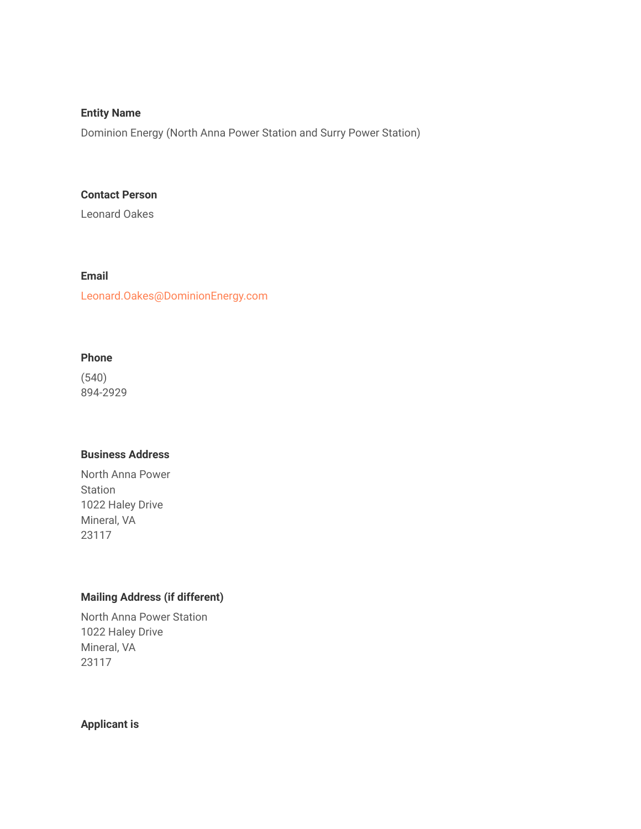#### **Entity Name**

Dominion Energy (North Anna Power Station and Surry Power Station)

#### **Contact Person**

Leonard Oakes

### **Email**

Leonard.Oakes@DominionEnergy.com

## **Phone**

(540) 894-2929

#### **Business Address**

North Anna Power Station 1022 Haley Drive Mineral, VA 23117

# **Mailing Address (if different)**

North Anna Power Station 1022 Haley Drive Mineral, VA 23117

## **Applicant is**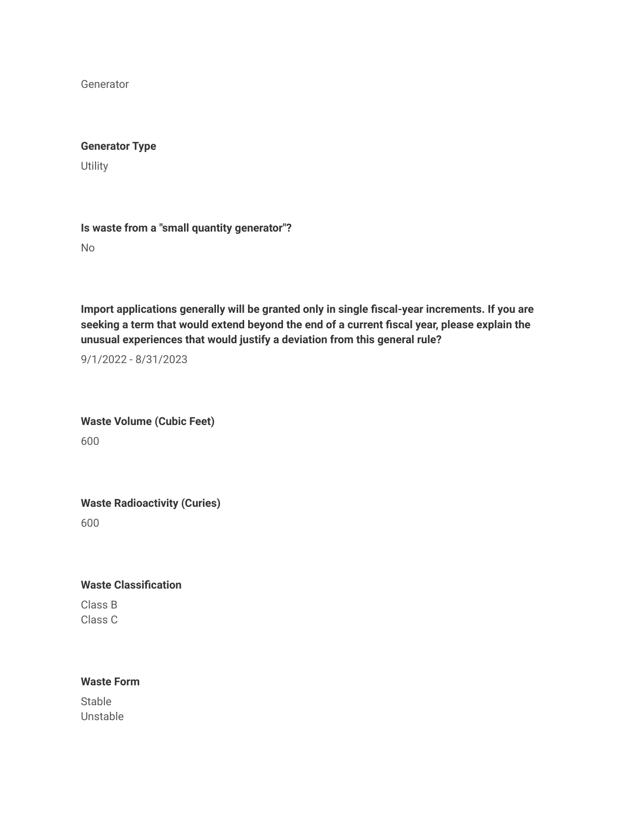Generator

#### **Generator Type**

**Utility** 

**Is waste from a "small quantity generator"?**

No

**Import applications generally will be granted only in single fiscal-year increments. If you are seeking a term that would extend beyond the end of a current fiscal year, please explain the unusual experiences that would justify a deviation from this general rule?**

9/1/2022 - 8/31/2023

**Waste Volume (Cubic Feet)** 600

**Waste Radioactivity (Curies)** 600

**Waste Classification** Class B Class C

## **Waste Form**

Stable Unstable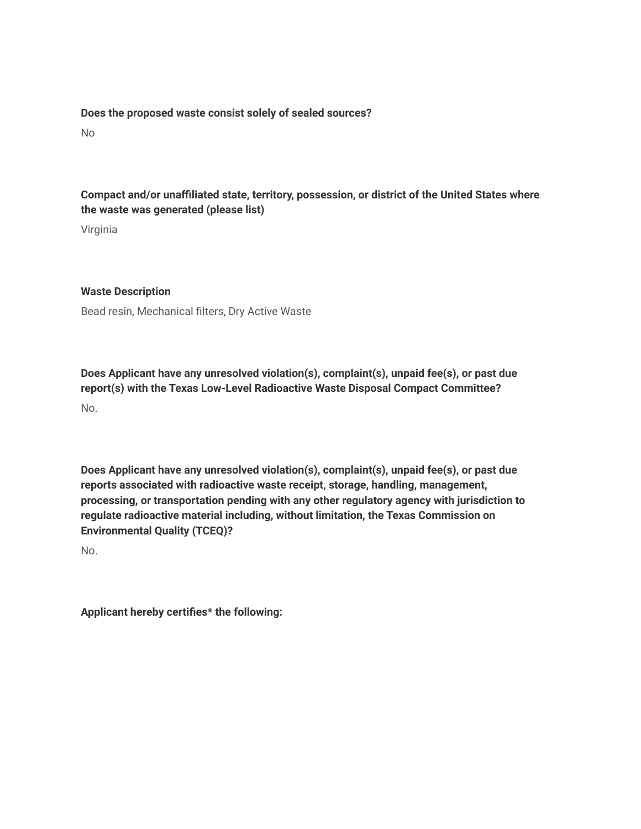#### **Does the proposed waste consist solely of sealed sources?**

No

# **Compact and/or unaffiliated state, territory, possession, or district of the United States where the waste was generated (please list)**

Virginia

## **Waste Description**

Bead resin, Mechanical filters, Dry Active Waste

**Does Applicant have any unresolved violation(s), complaint(s), unpaid fee(s), or past due report(s) with the Texas Low-Level Radioactive Waste Disposal Compact Committee?** No.

**Does Applicant have any unresolved violation(s), complaint(s), unpaid fee(s), or past due reports associated with radioactive waste receipt, storage, handling, management, processing, or transportation pending with any other regulatory agency with jurisdiction to regulate radioactive material including, without limitation, the Texas Commission on Environmental Quality (TCEQ)?**

No.

**Applicant hereby certifies\* the following:**